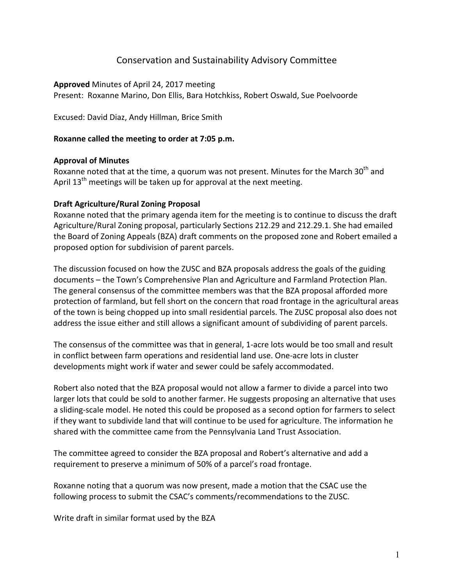# Conservation and Sustainability Advisory Committee

**Approved** Minutes of April 24, 2017 meeting

Present: Roxanne Marino, Don Ellis, Bara Hotchkiss, Robert Oswald, Sue Poelvoorde

Excused: David Diaz, Andy Hillman, Brice Smith

### **Roxanne called the meeting to order at 7:05 p.m.**

### **Approval of Minutes**

Roxanne noted that at the time, a quorum was not present. Minutes for the March 30<sup>th</sup> and April  $13<sup>th</sup>$  meetings will be taken up for approval at the next meeting.

### **Draft Agriculture/Rural Zoning Proposal**

Roxanne noted that the primary agenda item for the meeting is to continue to discuss the draft Agriculture/Rural Zoning proposal, particularly Sections 212.29 and 212.29.1. She had emailed the Board of Zoning Appeals (BZA) draft comments on the proposed zone and Robert emailed a proposed option for subdivision of parent parcels.

The discussion focused on how the ZUSC and BZA proposals address the goals of the guiding documents – the Town's Comprehensive Plan and Agriculture and Farmland Protection Plan. The general consensus of the committee members was that the BZA proposal afforded more protection of farmland, but fell short on the concern that road frontage in the agricultural areas of the town is being chopped up into small residential parcels. The ZUSC proposal also does not address the issue either and still allows a significant amount of subdividing of parent parcels.

The consensus of the committee was that in general, 1-acre lots would be too small and result in conflict between farm operations and residential land use. One-acre lots in cluster developments might work if water and sewer could be safely accommodated.

Robert also noted that the BZA proposal would not allow a farmer to divide a parcel into two larger lots that could be sold to another farmer. He suggests proposing an alternative that uses a sliding-scale model. He noted this could be proposed as a second option for farmers to select if they want to subdivide land that will continue to be used for agriculture. The information he shared with the committee came from the Pennsylvania Land Trust Association.

The committee agreed to consider the BZA proposal and Robert's alternative and add a requirement to preserve a minimum of 50% of a parcel's road frontage.

Roxanne noting that a quorum was now present, made a motion that the CSAC use the following process to submit the CSAC's comments/recommendations to the ZUSC.

Write draft in similar format used by the BZA